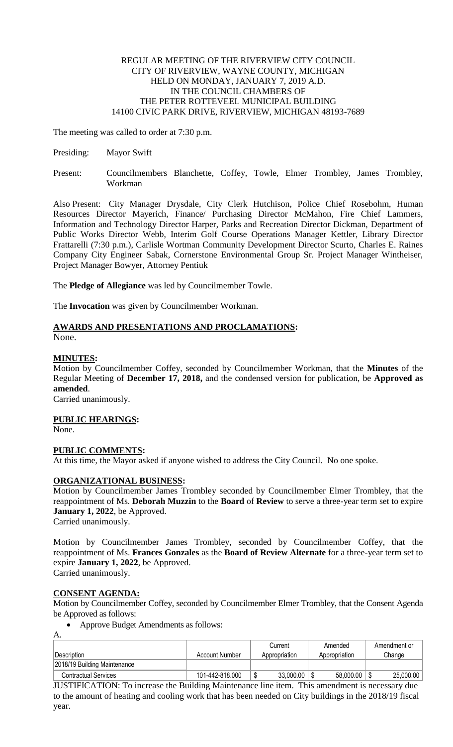## REGULAR MEETING OF THE RIVERVIEW CITY COUNCIL CITY OF RIVERVIEW, WAYNE COUNTY, MICHIGAN HELD ON MONDAY, JANUARY 7, 2019 A.D. IN THE COUNCIL CHAMBERS OF THE PETER ROTTEVEEL MUNICIPAL BUILDING 14100 CIVIC PARK DRIVE, RIVERVIEW, MICHIGAN 48193-7689

The meeting was called to order at 7:30 p.m.

- Presiding: Mayor Swift
- Present: Councilmembers Blanchette, Coffey, Towle, Elmer Trombley, James Trombley, Workman

Also Present: City Manager Drysdale, City Clerk Hutchison, Police Chief Rosebohm, Human Resources Director Mayerich, Finance/ Purchasing Director McMahon, Fire Chief Lammers, Information and Technology Director Harper, Parks and Recreation Director Dickman, Department of Public Works Director Webb, Interim Golf Course Operations Manager Kettler, Library Director Frattarelli (7:30 p.m.), Carlisle Wortman Community Development Director Scurto, Charles E. Raines Company City Engineer Sabak, Cornerstone Environmental Group Sr. Project Manager Wintheiser, Project Manager Bowyer, Attorney Pentiuk

The **Pledge of Allegiance** was led by Councilmember Towle.

The **Invocation** was given by Councilmember Workman.

#### **AWARDS AND PRESENTATIONS AND PROCLAMATIONS:** None.

# **MINUTES:**

Motion by Councilmember Coffey, seconded by Councilmember Workman, that the **Minutes** of the Regular Meeting of **December 17, 2018,** and the condensed version for publication, be **Approved as amended**.

Carried unanimously.

# **PUBLIC HEARINGS:**

None.

# **PUBLIC COMMENTS:**

At this time, the Mayor asked if anyone wished to address the City Council. No one spoke.

# **ORGANIZATIONAL BUSINESS:**

Motion by Councilmember James Trombley seconded by Councilmember Elmer Trombley, that the reappointment of Ms. **Deborah Muzzin** to the **Board** of **Review** to serve a three-year term set to expire **January 1, 2022**, be Approved.

Carried unanimously.

Motion by Councilmember James Trombley, seconded by Councilmember Coffey, that the reappointment of Ms. **Frances Gonzales** as the **Board of Review Alternate** for a three-year term set to expire **January 1, 2022**, be Approved. Carried unanimously.

A.

**CONSENT AGENDA:** Motion by Councilmember Coffey, seconded by Councilmember Elmer Trombley, that the Consent Agenda be Approved as follows:

Approve Budget Amendments as follows:

| $\mathbf{1}$ .               |                 |               |               |              |
|------------------------------|-----------------|---------------|---------------|--------------|
|                              |                 | Current       | Amended       | Amendment or |
| Description                  | Account Number  | Appropriation | Appropriation | Change       |
| 2018/19 Building Maintenance |                 |               |               |              |
| <b>Contractual Services</b>  | 101-442-818.000 | 33,000.00     | 58,000.00     | 25,000.00    |

JUSTIFICATION: To increase the Building Maintenance line item. This amendment is necessary due to the amount of heating and cooling work that has been needed on City buildings in the 2018/19 fiscal year.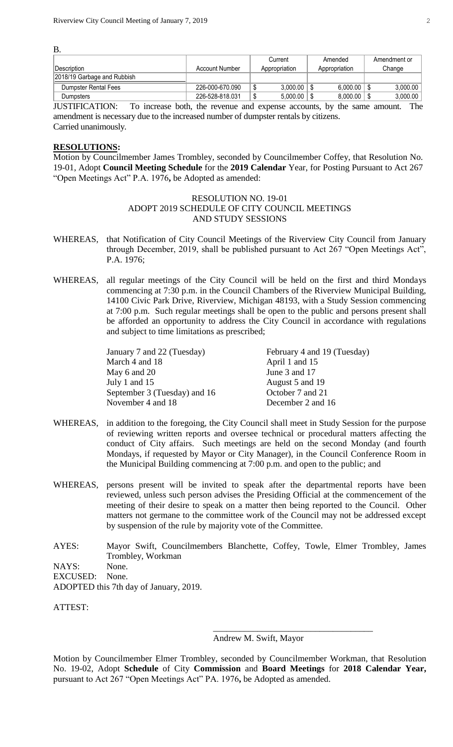B.

|                             |                 | Current       | Amended       | Amendment or |
|-----------------------------|-----------------|---------------|---------------|--------------|
| Description                 | Account Number  | Appropriation | Appropriation | Change       |
| 2018/19 Garbage and Rubbish |                 |               |               |              |
| Dumpster Rental Fees        | 226-000-670.090 | 3.000.00      | 6.000.00      | 3.000.00     |
| Dumpsters                   | 226-528-818.031 | 5.000.00      | 8.000.00      | 3.000.00     |
| ---------<br>_____          |                 |               |               | ___          |

JUSTIFICATION: To increase both, the revenue and expense accounts, by the same amount. The amendment is necessary due to the increased number of dumpster rentals by citizens. Carried unanimously.

### **RESOLUTIONS:**

Motion by Councilmember James Trombley, seconded by Councilmember Coffey, that Resolution No. 19-01, Adopt **Council Meeting Schedule** for the **2019 Calendar** Year, for Posting Pursuant to Act 267 "Open Meetings Act" P.A. 1976**,** be Adopted as amended:

### RESOLUTION NO. 19-01 ADOPT 2019 SCHEDULE OF CITY COUNCIL MEETINGS AND STUDY SESSIONS

- WHEREAS, that Notification of City Council Meetings of the Riverview City Council from January through December, 2019, shall be published pursuant to Act 267 "Open Meetings Act", P.A. 1976;
- WHEREAS, all regular meetings of the City Council will be held on the first and third Mondays commencing at 7:30 p.m. in the Council Chambers of the Riverview Municipal Building, 14100 Civic Park Drive, Riverview, Michigan 48193, with a Study Session commencing at 7:00 p.m. Such regular meetings shall be open to the public and persons present shall be afforded an opportunity to address the City Council in accordance with regulations and subject to time limitations as prescribed;

| January 7 and 22 (Tuesday)   | February 4 and 19 (Tuesday) |
|------------------------------|-----------------------------|
| March 4 and 18               | April 1 and 15              |
| May 6 and 20                 | June 3 and 17               |
| July 1 and 15                | August 5 and 19             |
| September 3 (Tuesday) and 16 | October 7 and 21            |
| November 4 and 18            | December 2 and 16           |
|                              |                             |

- WHEREAS, in addition to the foregoing, the City Council shall meet in Study Session for the purpose of reviewing written reports and oversee technical or procedural matters affecting the conduct of City affairs. Such meetings are held on the second Monday (and fourth Mondays, if requested by Mayor or City Manager), in the Council Conference Room in the Municipal Building commencing at 7:00 p.m. and open to the public; and
- WHEREAS, persons present will be invited to speak after the departmental reports have been reviewed, unless such person advises the Presiding Official at the commencement of the meeting of their desire to speak on a matter then being reported to the Council. Other matters not germane to the committee work of the Council may not be addressed except by suspension of the rule by majority vote of the Committee.
- AYES: Mayor Swift, Councilmembers Blanchette, Coffey, Towle, Elmer Trombley, James Trombley, Workman NAYS: None. EXCUSED: None.

ADOPTED this 7th day of January, 2019.

ATTEST:

Andrew M. Swift, Mayor

\_\_\_\_\_\_\_\_\_\_\_\_\_\_\_\_\_\_\_\_\_\_\_\_\_\_\_\_\_\_\_\_\_\_\_\_

Motion by Councilmember Elmer Trombley, seconded by Councilmember Workman, that Resolution No. 19-02, Adopt **Schedule** of City **Commission** and **Board Meetings** for **2018 Calendar Year,**  pursuant to Act 267 "Open Meetings Act" PA. 1976**,** be Adopted as amended.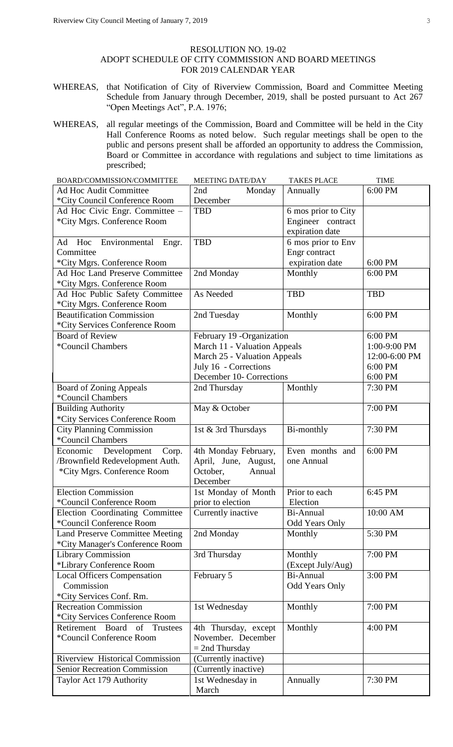### RESOLUTION NO. 19-02 ADOPT SCHEDULE OF CITY COMMISSION AND BOARD MEETINGS FOR 2019 CALENDAR YEAR

- WHEREAS, that Notification of City of Riverview Commission, Board and Committee Meeting Schedule from January through December, 2019, shall be posted pursuant to Act 267 "Open Meetings Act", P.A. 1976;
- WHEREAS, all regular meetings of the Commission, Board and Committee will be held in the City Hall Conference Rooms as noted below. Such regular meetings shall be open to the public and persons present shall be afforded an opportunity to address the Commission, Board or Committee in accordance with regulations and subject to time limitations as prescribed;

| BOARD/COMMISSION/COMMITTEE                          | <b>MEETING DATE/DAY</b>                               | <b>TAKES PLACE</b>    | <b>TIME</b>   |
|-----------------------------------------------------|-------------------------------------------------------|-----------------------|---------------|
| Ad Hoc Audit Committee                              | 2nd<br>Monday                                         | Annually              | 6:00 PM       |
| *City Council Conference Room                       | December                                              |                       |               |
| Ad Hoc Civic Engr. Committee -                      | <b>TBD</b>                                            | 6 mos prior to City   |               |
| *City Mgrs. Conference Room                         |                                                       | Engineer contract     |               |
|                                                     |                                                       | expiration date       |               |
| Hoc<br>Environmental<br>Ad<br>Engr.                 | <b>TBD</b>                                            | 6 mos prior to Env    |               |
| Committee                                           |                                                       | Engr contract         |               |
| *City Mgrs. Conference Room                         |                                                       | expiration date       | 6:00 PM       |
| Ad Hoc Land Preserve Committee                      | 2nd Monday                                            | Monthly               | 6:00 PM       |
| *City Mgrs. Conference Room                         |                                                       |                       |               |
| Ad Hoc Public Safety Committee                      | As Needed                                             | <b>TBD</b>            | <b>TBD</b>    |
| *City Mgrs. Conference Room                         |                                                       |                       |               |
| <b>Beautification Commission</b>                    | 2nd Tuesday                                           | Monthly               | 6:00 PM       |
| *City Services Conference Room                      |                                                       |                       |               |
| <b>Board of Review</b>                              | February 19 -Organization                             |                       | 6:00 PM       |
| <i>*</i> Council Chambers                           | March 11 - Valuation Appeals                          |                       | 1:00-9:00 PM  |
|                                                     |                                                       |                       | 12:00-6:00 PM |
|                                                     | March 25 - Valuation Appeals<br>July 16 - Corrections |                       | 6:00 PM       |
|                                                     | December 10- Corrections                              |                       | 6:00 PM       |
|                                                     |                                                       |                       |               |
| <b>Board of Zoning Appeals</b><br>*Council Chambers | 2nd Thursday                                          | Monthly               | 7:30 PM       |
|                                                     |                                                       |                       |               |
| <b>Building Authority</b>                           | May & October                                         |                       | 7:00 PM       |
| *City Services Conference Room                      |                                                       |                       |               |
| <b>City Planning Commission</b>                     | 1st & 3rd Thursdays                                   | Bi-monthly            | 7:30 PM       |
| *Council Chambers                                   |                                                       |                       |               |
| Economic Development<br>Corp.                       | 4th Monday February,                                  | Even months and       | 6:00 PM       |
| /Brownfield Redevelopment Auth.                     | April, June, August,                                  | one Annual            |               |
| *City Mgrs. Conference Room                         | October,<br>Annual                                    |                       |               |
|                                                     | December                                              |                       |               |
| <b>Election Commission</b>                          | 1st Monday of Month                                   | Prior to each         | 6:45 PM       |
| *Council Conference Room                            | prior to election                                     | Election              |               |
| Election Coordinating Committee                     | Currently inactive                                    | <b>Bi-Annual</b>      | 10:00 AM      |
| *Council Conference Room                            |                                                       | Odd Years Only        |               |
| <b>Land Preserve Committee Meeting</b>              | 2nd Monday                                            | Monthly               | 5:30 PM       |
| *City Manager's Conference Room                     |                                                       |                       |               |
| <b>Library Commission</b>                           | 3rd Thursday                                          | Monthly               | 7:00 PM       |
| *Library Conference Room                            |                                                       | (Except July/Aug)     |               |
| <b>Local Officers Compensation</b>                  | February 5                                            | Bi-Annual             | 3:00 PM       |
| Commission                                          |                                                       | <b>Odd Years Only</b> |               |
| *City Services Conf. Rm.                            |                                                       |                       |               |
| <b>Recreation Commission</b>                        | 1st Wednesday                                         | Monthly               | 7:00 PM       |
| *City Services Conference Room                      |                                                       |                       |               |
| Board<br>of<br>Retirement<br>Trustees               | 4th Thursday, except                                  | Monthly               | 4:00 PM       |
| *Council Conference Room                            | November. December                                    |                       |               |
|                                                     | $= 2nd$ Thursday                                      |                       |               |
| <b>Riverview Historical Commission</b>              | (Currently inactive)                                  |                       |               |
| Senior Recreation Commission                        | (Currently inactive)                                  |                       |               |
| Taylor Act 179 Authority                            | 1st Wednesday in                                      | Annually              | 7:30 PM       |
|                                                     | March                                                 |                       |               |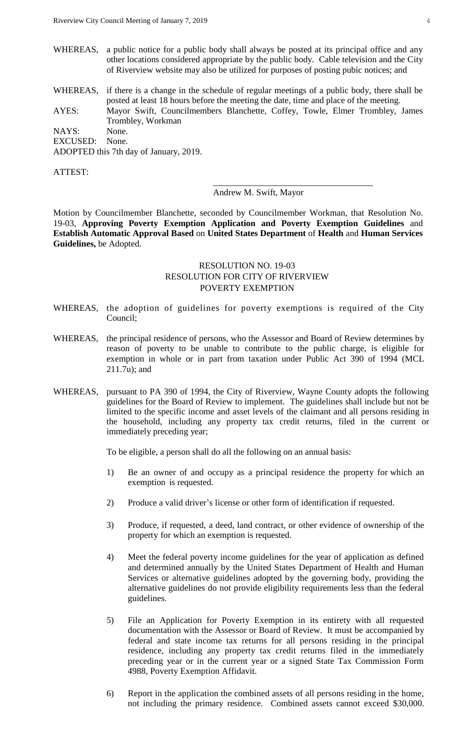- WHEREAS, a public notice for a public body shall always be posted at its principal office and any other locations considered appropriate by the public body. Cable television and the City of Riverview website may also be utilized for purposes of posting pubic notices; and
- WHEREAS, if there is a change in the schedule of regular meetings of a public body, there shall be posted at least 18 hours before the meeting the date, time and place of the meeting. AYES: Mayor Swift, Councilmembers Blanchette, Coffey, Towle, Elmer Trombley, James Trombley, Workman

NAYS: None. EXCUSED: None.

ADOPTED this 7th day of January, 2019.

ATTEST:

Andrew M. Swift, Mayor

\_\_\_\_\_\_\_\_\_\_\_\_\_\_\_\_\_\_\_\_\_\_\_\_\_\_\_\_\_\_\_\_\_\_\_\_

Motion by Councilmember Blanchette, seconded by Councilmember Workman, that Resolution No. 19-03, **Approving Poverty Exemption Application and Poverty Exemption Guidelines** and **Establish Automatic Approval Based** on **United States Department** of **Health** and **Human Services Guidelines,** be Adopted.

# RESOLUTION NO. 19-03 RESOLUTION FOR CITY OF RIVERVIEW POVERTY EXEMPTION

- WHEREAS, the adoption of guidelines for poverty exemptions is required of the City Council;
- WHEREAS, the principal residence of persons, who the Assessor and Board of Review determines by reason of poverty to be unable to contribute to the public charge, is eligible for exemption in whole or in part from taxation under Public Act 390 of 1994 (MCL 211.7u); and
- WHEREAS, pursuant to PA 390 of 1994, the City of Riverview, Wayne County adopts the following guidelines for the Board of Review to implement. The guidelines shall include but not be limited to the specific income and asset levels of the claimant and all persons residing in the household, including any property tax credit returns, filed in the current or immediately preceding year;

To be eligible, a person shall do all the following on an annual basis:

- 1) Be an owner of and occupy as a principal residence the property for which an exemption is requested.
- 2) Produce a valid driver's license or other form of identification if requested.
- 3) Produce, if requested, a deed, land contract, or other evidence of ownership of the property for which an exemption is requested.
- 4) Meet the federal poverty income guidelines for the year of application as defined and determined annually by the United States Department of Health and Human Services or alternative guidelines adopted by the governing body, providing the alternative guidelines do not provide eligibility requirements less than the federal guidelines.
- 5) File an Application for Poverty Exemption in its entirety with all requested documentation with the Assessor or Board of Review. It must be accompanied by federal and state income tax returns for all persons residing in the principal residence, including any property tax credit returns filed in the immediately preceding year or in the current year or a signed State Tax Commission Form 4988, Poverty Exemption Affidavit.
- 6) Report in the application the combined assets of all persons residing in the home, not including the primary residence. Combined assets cannot exceed \$30,000.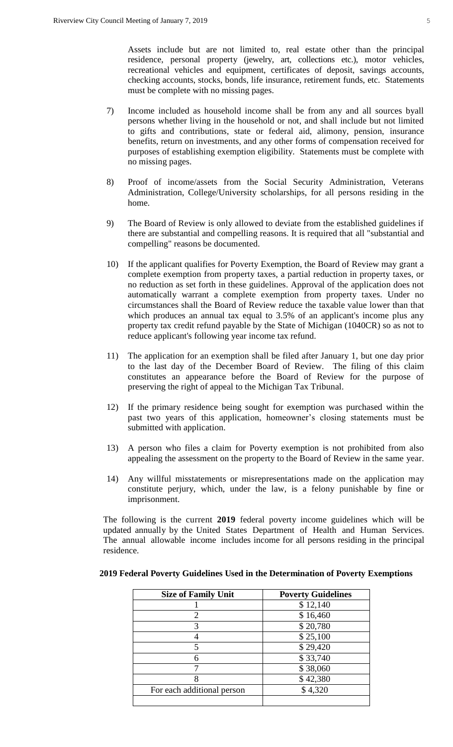Assets include but are not limited to, real estate other than the principal residence, personal property (jewelry, art, collections etc.), motor vehicles, recreational vehicles and equipment, certificates of deposit, savings accounts, checking accounts, stocks, bonds, life insurance, retirement funds, etc. Statements must be complete with no missing pages.

- 7) Income included as household income shall be from any and all sources byall persons whether living in the household or not, and shall include but not limited to gifts and contributions, state or federal aid, alimony, pension, insurance benefits, return on investments, and any other forms of compensation received for purposes of establishing exemption eligibility. Statements must be complete with no missing pages.
- 8) Proof of income/assets from the Social Security Administration, Veterans Administration, College/University scholarships, for all persons residing in the home.
- 9) The Board of Review is only allowed to deviate from the established guidelines if there are substantial and compelling reasons. It is required that all "substantial and compelling" reasons be documented.
- 10) If the applicant qualifies for Poverty Exemption, the Board of Review may grant a complete exemption from property taxes, a partial reduction in property taxes, or no reduction as set forth in these guidelines. Approval of the application does not automatically warrant a complete exemption from property taxes. Under no circumstances shall the Board of Review reduce the taxable value lower than that which produces an annual tax equal to 3.5% of an applicant's income plus any property tax credit refund payable by the State of Michigan (1040CR) so as not to reduce applicant's following year income tax refund.
- 11) The application for an exemption shall be filed after January 1, but one day prior to the last day of the December Board of Review. The filing of this claim constitutes an appearance before the Board of Review for the purpose of preserving the right of appeal to the Michigan Tax Tribunal.
- 12) If the primary residence being sought for exemption was purchased within the past two years of this application, homeowner's closing statements must be submitted with application.
- 13) A person who files a claim for Poverty exemption is not prohibited from also appealing the assessment on the property to the Board of Review in the same year.
- 14) Any willful misstatements or misrepresentations made on the application may constitute perjury, which, under the law, is a felony punishable by fine or imprisonment.

The following is the current **2019** federal poverty income guidelines which will be updated annually by the United States Department of Health and Human Services. The annual allowable income includes income for all persons residing in the principal residence.

| <b>Size of Family Unit</b> | <b>Poverty Guidelines</b> |
|----------------------------|---------------------------|
|                            | \$12,140                  |
| 2                          | \$16,460                  |
| 3                          | \$20,780                  |
|                            | \$25,100                  |
|                            | \$29,420                  |
| 6                          | \$33,740                  |
|                            | \$38,060                  |
|                            | \$42,380                  |
| For each additional person | \$4,320                   |
|                            |                           |

# **2019 Federal Poverty Guidelines Used in the Determination of Poverty Exemptions**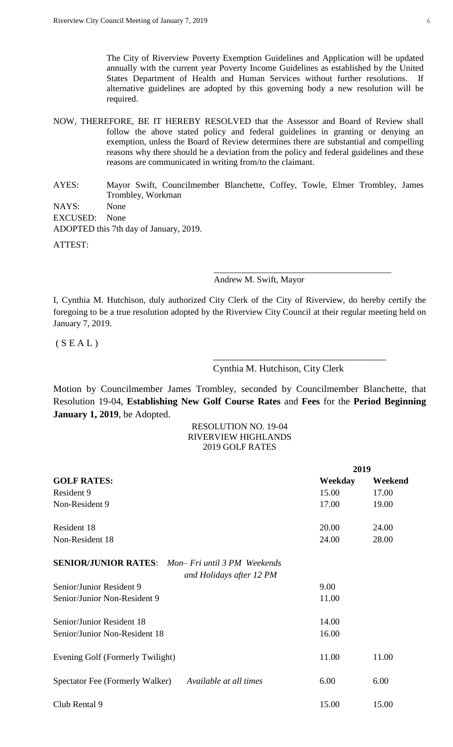The City of Riverview Poverty Exemption Guidelines and Application will be updated annually with the current year Poverty Income Guidelines as established by the United States Department of Health and Human Services without further resolutions. If alternative guidelines are adopted by this governing body a new resolution will be required.

NOW, THEREFORE, BE IT HEREBY RESOLVED that the Assessor and Board of Review shall follow the above stated policy and federal guidelines in granting or denying an exemption, unless the Board of Review determines there are substantial and compelling reasons why there should be a deviation from the policy and federal guidelines and these reasons are communicated in writing from/to the claimant.

AYES: Mayor Swift, Councilmember Blanchette, Coffey, Towle, Elmer Trombley, James Trombley, Workman NAYS: None EXCUSED: None ADOPTED this 7th day of January, 2019. ATTEST:

Andrew M. Swift, Mayor

I, Cynthia M. Hutchison, duly authorized City Clerk of the City of Riverview, do hereby certify the foregoing to be a true resolution adopted by the Riverview City Council at their regular meeting held on January 7, 2019.

 $(S E A L)$ 

### Cynthia M. Hutchison, City Clerk

\_\_\_\_\_\_\_\_\_\_\_\_\_\_\_\_\_\_\_\_\_\_\_\_\_\_\_\_\_\_\_\_\_\_\_\_\_\_\_\_

\_\_\_\_\_\_\_\_\_\_\_\_\_\_\_\_\_\_\_\_\_\_\_\_\_\_\_\_\_\_\_\_\_\_\_\_

Motion by Councilmember James Trombley, seconded by Councilmember Blanchette, that Resolution 19-04, **Establishing New Golf Course Rates** and **Fees** for the **Period Beginning January 1, 2019**, be Adopted.

## RESOLUTION NO. 19-04 RIVERVIEW HIGHLANDS 2019 GOLF RATES

|                                                                                         | 2019    |         |
|-----------------------------------------------------------------------------------------|---------|---------|
| <b>GOLF RATES:</b>                                                                      | Weekday | Weekend |
| Resident 9                                                                              | 15.00   | 17.00   |
| Non-Resident 9                                                                          | 17.00   | 19.00   |
| Resident 18                                                                             | 20.00   | 24.00   |
| Non-Resident 18                                                                         | 24.00   | 28.00   |
| <b>SENIOR/JUNIOR RATES:</b><br>Mon– Fri until 3 PM Weekends<br>and Holidays after 12 PM |         |         |
| Senior/Junior Resident 9                                                                | 9.00    |         |
| Senior/Junior Non-Resident 9                                                            | 11.00   |         |
| Senior/Junior Resident 18                                                               | 14.00   |         |
| Senior/Junior Non-Resident 18                                                           | 16.00   |         |
| Evening Golf (Formerly Twilight)                                                        | 11.00   | 11.00   |
| Spectator Fee (Formerly Walker)<br>Available at all times                               | 6.00    | 6.00    |
| Club Rental 9                                                                           | 15.00   | 15.00   |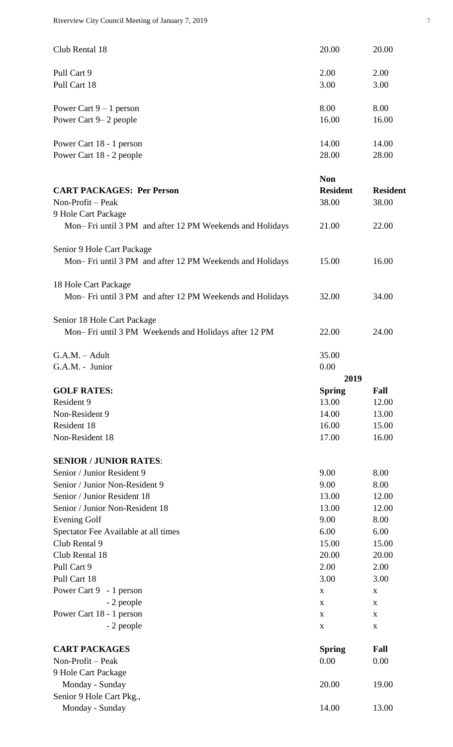| Club Rental 18           | 20.00 | 20.00 |
|--------------------------|-------|-------|
| Pull Cart 9              | 2.00  | 2.00  |
| Pull Cart 18             | 3.00  | 3.00  |
| Power Cart $9-1$ person  | 8.00  | 8.00  |
| Power Cart 9– 2 people   | 16.00 | 16.00 |
| Power Cart 18 - 1 person | 14.00 | 14.00 |
| Power Cart 18 - 2 people | 28.00 | 28.00 |

| <b>CART PACKAGES: Per Person</b>                         | <b>Non</b><br><b>Resident</b> | <b>Resident</b> |
|----------------------------------------------------------|-------------------------------|-----------------|
| Non-Profit – Peak                                        | 38.00                         | 38.00           |
| 9 Hole Cart Package                                      |                               |                 |
| Mon-Fri until 3 PM and after 12 PM Weekends and Holidays | 21.00                         | 22.00           |
| Senior 9 Hole Cart Package                               |                               |                 |
| Mon-Fri until 3 PM and after 12 PM Weekends and Holidays | 15.00                         | 16.00           |
| 18 Hole Cart Package                                     |                               |                 |
| Mon-Fri until 3 PM and after 12 PM Weekends and Holidays | 32.00                         | 34.00           |
| Senior 18 Hole Cart Package                              |                               |                 |
| Mon-Fri until 3 PM Weekends and Holidays after 12 PM     | 22.00                         | 24.00           |
| $G.A.M. - Adult$                                         | 35.00                         |                 |
| G.A.M. - Junior                                          | 0.00                          |                 |
|                                                          | 2019                          |                 |
| <b>GOLF RATES:</b>                                       | <b>Spring</b>                 | Fall            |
| Resident 9                                               | 13.00                         | 12.00           |
| Non-Resident 9                                           | 14.00                         | 13.00           |
| Resident 18                                              | 16.00                         | 15.00           |
| Non-Resident 18                                          | 17.00                         | 16.00           |
| <b>SENIOR / JUNIOR RATES:</b>                            |                               |                 |
| Senior / Junior Resident 9                               | 9.00                          | 8.00            |
| Senior / Junior Non-Resident 9                           | 9.00                          | 8.00            |
| Senior / Junior Resident 18                              | 13.00                         | 12.00           |
| Senior / Junior Non-Resident 18                          | 13.00                         | 12.00           |
| <b>Evening Golf</b>                                      | 9.00                          | 8.00            |
| Spectator Fee Available at all times                     | 6.00                          | 6.00            |
| Club Rental 9                                            | 15.00                         | 15.00           |
| Club Rental 18                                           | 20.00                         | 20.00           |
| Pull Cart 9                                              | 2.00                          | 2.00            |
| Pull Cart 18                                             | 3.00                          | 3.00            |
| Power Cart 9 - 1 person                                  | X                             | X               |
| - 2 people                                               | X                             | X               |
| Power Cart 18 - 1 person                                 | X                             | X               |
| - 2 people                                               | X                             | $\mathbf X$     |
| <b>CART PACKAGES</b>                                     | <b>Spring</b>                 | Fall            |
| Non-Profit - Peak                                        | 0.00                          | 0.00            |
| 9 Hole Cart Package                                      |                               |                 |
| Monday - Sunday                                          | 20.00                         | 19.00           |
| Senior 9 Hole Cart Pkg.,                                 |                               |                 |
| Monday - Sunday                                          | 14.00                         | 13.00           |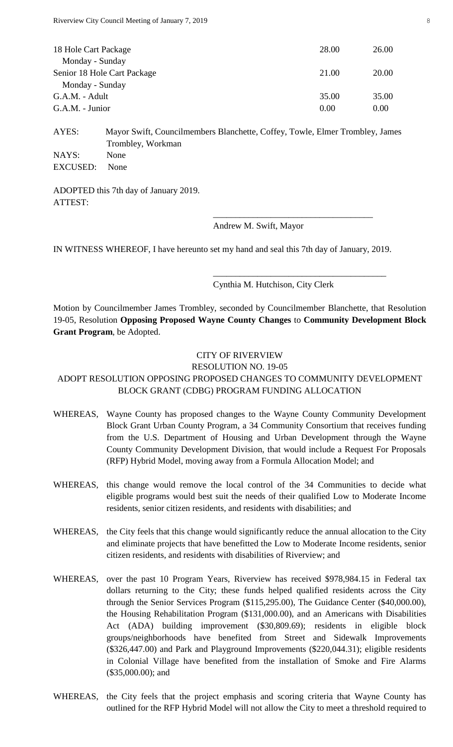| 18 Hole Cart Package        | 28.00 | 26.00 |
|-----------------------------|-------|-------|
| Monday - Sunday             |       |       |
| Senior 18 Hole Cart Package | 21.00 | 20.00 |
| Monday - Sunday             |       |       |
| G.A.M. - Adult              | 35.00 | 35.00 |
| G.A.M. - Junior             | 0.00  | 0.00  |

AYES: Mayor Swift, Councilmembers Blanchette, Coffey, Towle, Elmer Trombley, James Trombley, Workman NAYS: None EXCUSED: None

ADOPTED this 7th day of January 2019. ATTEST:

#### Andrew M. Swift, Mayor

IN WITNESS WHEREOF, I have hereunto set my hand and seal this 7th day of January, 2019.

### Cynthia M. Hutchison, City Clerk

\_\_\_\_\_\_\_\_\_\_\_\_\_\_\_\_\_\_\_\_\_\_\_\_\_\_\_\_\_\_\_\_\_\_\_\_

\_\_\_\_\_\_\_\_\_\_\_\_\_\_\_\_\_\_\_\_\_\_\_\_\_\_\_\_\_\_\_\_\_\_\_\_\_\_\_

Motion by Councilmember James Trombley, seconded by Councilmember Blanchette, that Resolution 19-05, Resolution **Opposing Proposed Wayne County Changes** to **Community Development Block Grant Program**, be Adopted.

# CITY OF RIVERVIEW

# RESOLUTION NO. 19-05

# ADOPT RESOLUTION OPPOSING PROPOSED CHANGES TO COMMUNITY DEVELOPMENT BLOCK GRANT (CDBG) PROGRAM FUNDING ALLOCATION

- WHEREAS, Wayne County has proposed changes to the Wayne County Community Development Block Grant Urban County Program, a 34 Community Consortium that receives funding from the U.S. Department of Housing and Urban Development through the Wayne County Community Development Division, that would include a Request For Proposals (RFP) Hybrid Model, moving away from a Formula Allocation Model; and
- WHEREAS, this change would remove the local control of the 34 Communities to decide what eligible programs would best suit the needs of their qualified Low to Moderate Income residents, senior citizen residents, and residents with disabilities; and
- WHEREAS, the City feels that this change would significantly reduce the annual allocation to the City and eliminate projects that have benefitted the Low to Moderate Income residents, senior citizen residents, and residents with disabilities of Riverview; and
- WHEREAS, over the past 10 Program Years, Riverview has received \$978,984.15 in Federal tax dollars returning to the City; these funds helped qualified residents across the City through the Senior Services Program (\$115,295.00), The Guidance Center (\$40,000.00), the Housing Rehabilitation Program (\$131,000.00), and an Americans with Disabilities Act (ADA) building improvement (\$30,809.69); residents in eligible block groups/neighborhoods have benefited from Street and Sidewalk Improvements (\$326,447.00) and Park and Playground Improvements (\$220,044.31); eligible residents in Colonial Village have benefited from the installation of Smoke and Fire Alarms (\$35,000.00); and
- WHEREAS, the City feels that the project emphasis and scoring criteria that Wayne County has outlined for the RFP Hybrid Model will not allow the City to meet a threshold required to